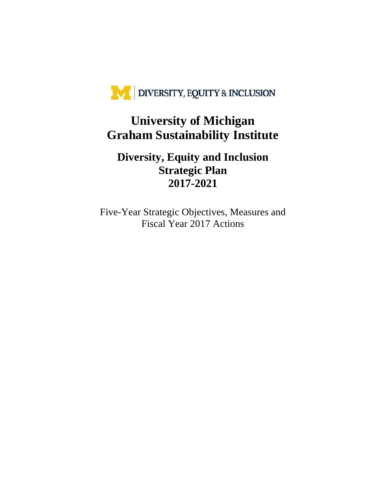

## **University of Michigan Graham Sustainability Institute**

## **Diversity, Equity and Inclusion Strategic Plan 2017-2021**

Five-Year Strategic Objectives, Measures and Fiscal Year 2017 Actions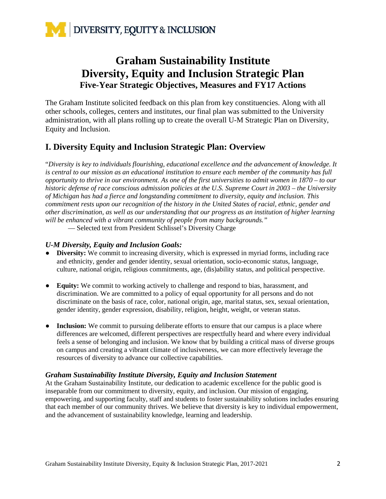

## **Graham Sustainability Institute Diversity, Equity and Inclusion Strategic Plan Five-Year Strategic Objectives, Measures and FY17 Actions**

The Graham Institute solicited feedback on this plan from key constituencies. Along with all other schools, colleges, centers and institutes, our final plan was submitted to the University administration, with all plans rolling up to create the overall U-M Strategic Plan on Diversity, Equity and Inclusion.

## **I. Diversity Equity and Inclusion Strategic Plan: Overview**

"*Diversity is key to individuals flourishing, educational excellence and the advancement of knowledge. It is central to our mission as an educational institution to ensure each member of the community has full opportunity to thrive in our environment. As one of the first universities to admit women in 1870 – to our historic defense of race conscious admission policies at the U.S. Supreme Court in 2003 – the University of Michigan has had a fierce and longstanding commitment to diversity, equity and inclusion. This commitment rests upon our recognition of the history in the United States of racial, ethnic, gender and other discrimination, as well as our understanding that our progress as an institution of higher learning will be enhanced with a vibrant community of people from many backgrounds."*

— Selected text from President Schlissel's Diversity Charge

#### *U-M Diversity, Equity and Inclusion Goals:*

- **Diversity:** We commit to increasing diversity, which is expressed in myriad forms, including race and ethnicity, gender and gender identity, sexual orientation, socio-economic status, language, culture, national origin, religious commitments, age, (dis)ability status, and political perspective.
- **Equity:** We commit to working actively to challenge and respond to bias, harassment, and discrimination. We are committed to a policy of equal opportunity for all persons and do not discriminate on the basis of race, color, national origin, age, marital status, sex, sexual orientation, gender identity, gender expression, disability, religion, height, weight, or veteran status.
- **Inclusion:** We commit to pursuing deliberate efforts to ensure that our campus is a place where differences are welcomed, different perspectives are respectfully heard and where every individual feels a sense of belonging and inclusion. We know that by building a critical mass of diverse groups on campus and creating a vibrant climate of inclusiveness, we can more effectively leverage the resources of diversity to advance our collective capabilities.

#### *Graham Sustainability Institute Diversity, Equity and Inclusion Statement*

At the Graham Sustainability Institute, our dedication to academic excellence for the public good is inseparable from our commitment to diversity, equity, and inclusion. Our mission of engaging, empowering, and supporting faculty, staff and students to foster sustainability solutions includes ensuring that each member of our community thrives. We believe that diversity is key to individual empowerment, and the advancement of sustainability knowledge, learning and leadership.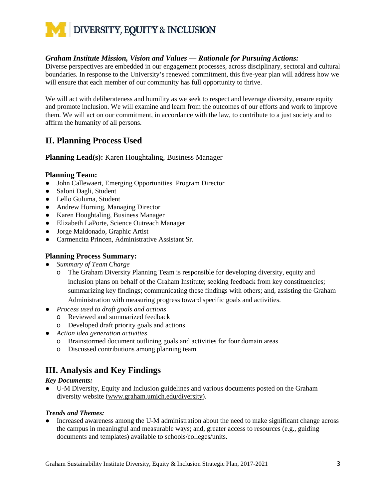

#### *Graham Institute Mission, Vision and Values — Rationale for Pursuing Actions:*

Diverse perspectives are embedded in our engagement processes, across disciplinary, sectoral and cultural boundaries. In response to the University's renewed commitment, this five-year plan will address how we will ensure that each member of our community has full opportunity to thrive.

We will act with deliberateness and humility as we seek to respect and leverage diversity, ensure equity and promote inclusion. We will examine and learn from the outcomes of our efforts and work to improve them. We will act on our commitment, in accordance with the law, to contribute to a just society and to affirm the humanity of all persons.

## **II. Planning Process Used**

**Planning Lead(s):** Karen Houghtaling, Business Manager

#### **Planning Team:**

- John Callewaert, Emerging Opportunities Program Director
- Saloni Dagli, Student
- Lello Guluma, Student
- Andrew Horning, Managing Director
- Karen Houghtaling, Business Manager
- Elizabeth LaPorte, Science Outreach Manager
- Jorge Maldonado, Graphic Artist
- Carmencita Princen, Administrative Assistant Sr.

#### **Planning Process Summary:**

- *Summary of Team Charge*
	- o The Graham Diversity Planning Team is responsible for developing diversity, equity and inclusion plans on behalf of the Graham Institute; seeking feedback from key constituencies; summarizing key findings; communicating these findings with others; and, assisting the Graham Administration with measuring progress toward specific goals and activities.
- *Process used to draft goals and actions*
	- o Reviewed and summarized feedback
	- o Developed draft priority goals and actions
- *Action idea generation activities*
	- o Brainstormed document outlining goals and activities for four domain areas
	- o Discussed contributions among planning team

## **III. Analysis and Key Findings**

#### *Key Documents:*

● U-M Diversity, Equity and Inclusion guidelines and various documents posted on the Graham diversity website [\(www.graham.umich.edu/diversity\)](http://www.graham.umich.edu/diversity).

#### *Trends and Themes:*

Increased awareness among the U-M administration about the need to make significant change across the campus in meaningful and measurable ways; and, greater access to resources (e.g., guiding documents and templates) available to schools/colleges/units.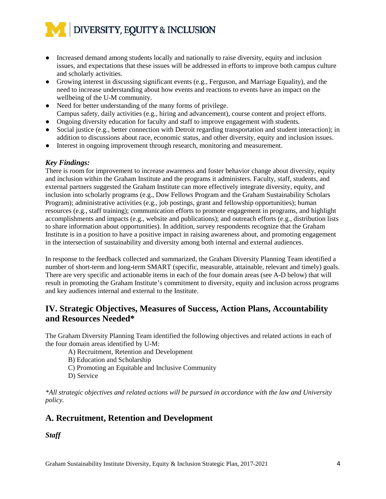- Increased demand among students locally and nationally to raise diversity, equity and inclusion issues, and expectations that these issues will be addressed in efforts to improve both campus culture and scholarly activities.
- Growing interest in discussing significant events (e.g., Ferguson, and Marriage Equality), and the need to increase understanding about how events and reactions to events have an impact on the wellbeing of the U-M community.
- Need for better understanding of the many forms of privilege. Campus safety, daily activities (e.g., hiring and advancement), course content and project efforts.
- Ongoing diversity education for faculty and staff to improve engagement with students.
- Social justice (e.g., better connection with Detroit regarding transportation and student interaction); in addition to discussions about race, economic status, and other diversity, equity and inclusion issues.
- Interest in ongoing improvement through research, monitoring and measurement.

#### *Key Findings:*

There is room for improvement to increase awareness and foster behavior change about diversity, equity and inclusion within the Graham Institute and the programs it administers. Faculty, staff, students, and external partners suggested the Graham Institute can more effectively integrate diversity, equity, and inclusion into scholarly programs (e.g., Dow Fellows Program and the Graham Sustainability Scholars Program); administrative activities (e.g., job postings, grant and fellowship opportunities); human resources (e.g., staff training); communication efforts to promote engagement in programs, and highlight accomplishments and impacts (e.g., website and publications); and outreach efforts (e.g., distribution lists to share information about opportunities). In addition, survey respondents recognize that the Graham Institute is in a position to have a positive impact in raising awareness about, and promoting engagement in the intersection of sustainability and diversity among both internal and external audiences.

In response to the feedback collected and summarized, the Graham Diversity Planning Team identified a number of short-term and long-term SMART (specific, measurable, attainable, relevant and timely) goals. There are very specific and actionable items in each of the four domain areas (see A-D below) that will result in promoting the Graham Institute's commitment to diversity, equity and inclusion across programs and key audiences internal and external to the Institute.

## **IV. Strategic Objectives, Measures of Success, Action Plans, Accountability and Resources Needed\***

The Graham Diversity Planning Team identified the following objectives and related actions in each of the four domain areas identified by U-M:

A) Recruitment, Retention and Development

B) Education and Scholarship

- C) Promoting an Equitable and Inclusive Community
- D) Service

*\*All strategic objectives and related actions will be pursued in accordance with the law and University policy.* 

## **A. Recruitment, Retention and Development**

*Staff*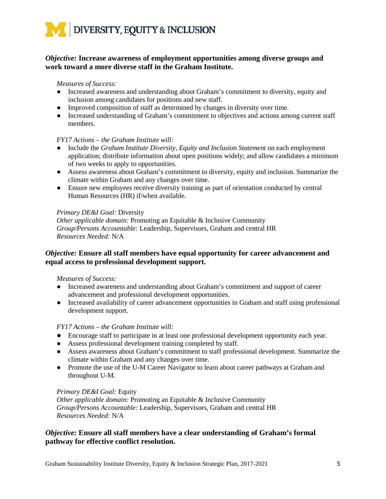

#### *Objective:* **Increase awareness of employment opportunities among diverse groups and work toward a more diverse staff in the Graham Institute.**

#### *Measures of Success:*

- Increased awareness and understanding about Graham's commitment to diversity, equity and inclusion among candidates for positions and new staff.
- Improved composition of staff as determined by changes in diversity over time.
- Increased understanding of Graham's commitment to objectives and actions among current staff members.

#### *FY17 Actions – the Graham Institute will:*

- Include the *Graham Institute Diversity, Equity and Inclusion Statement* on each employment application; distribute information about open positions widely; and allow candidates a minimum of two weeks to apply to opportunities.
- Assess awareness about Graham's commitment to diversity, equity and inclusion. Summarize the climate within Graham and any changes over time.
- Ensure new employees receive diversity training as part of orientation conducted by central Human Resources (HR) if/when available.

#### *Primary DE&I Goal:* Diversity

*Other applicable domain:* Promoting an Equitable & Inclusive Community *Group/Persons Accountable:* Leadership, Supervisors, Graham and central HR *Resources Needed:* N/A

#### *Objective:* **Ensure all staff members have equal opportunity for career advancement and equal access to professional development support.**

#### *Measures of Success:*

- Increased awareness and understanding about Graham's commitment and support of career advancement and professional development opportunities.
- Increased availability of career advancement opportunities in Graham and staff using professional development support.

#### *FY17 Actions – the Graham Institute will:*

- Encourage staff to participate in at least one professional development opportunity each year.
- Assess professional development training completed by staff.
- Assess awareness about Graham's commitment to staff professional development. Summarize the climate within Graham and any changes over time.
- Promote the use of the U-M Career Navigator to learn about career pathways at Graham and throughout U-M.

#### *Primary DE&I Goal:* Equity

*Other applicable domain:* Promoting an Equitable & Inclusive Community *Group/Persons Accountable:* Leadership, Supervisors, Graham and central HR *Resources Needed:* N/A

#### *Objective:* **Ensure all staff members have a clear understanding of Graham's formal pathway for effective conflict resolution.**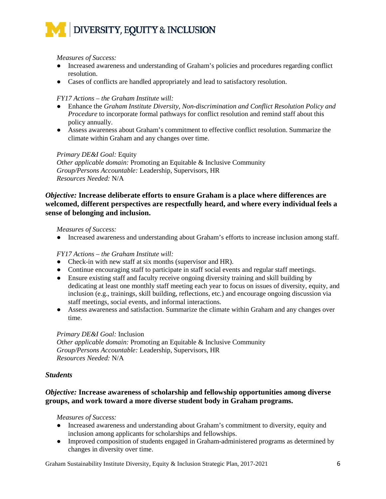#### *Measures of Success:*

- Increased awareness and understanding of Graham's policies and procedures regarding conflict resolution.
- Cases of conflicts are handled appropriately and lead to satisfactory resolution.

#### *FY17 Actions – the Graham Institute will:*

- Enhance the *Graham Institute Diversity, Non-discrimination and Conflict Resolution Policy and Procedure* to incorporate formal pathways for conflict resolution and remind staff about this policy annually.
- Assess awareness about Graham's commitment to effective conflict resolution. Summarize the climate within Graham and any changes over time.

#### *Primary DE&I Goal:* Equity

*Other applicable domain:* Promoting an Equitable & Inclusive Community *Group/Persons Accountable:* Leadership, Supervisors, HR *Resources Needed:* N/A

#### *Objective:* **Increase deliberate efforts to ensure Graham is a place where differences are welcomed, different perspectives are respectfully heard, and where every individual feels a sense of belonging and inclusion.**

#### *Measures of Success:*

● Increased awareness and understanding about Graham's efforts to increase inclusion among staff.

#### *FY17 Actions – the Graham Institute will:*

- Check-in with new staff at six months (supervisor and HR).
- Continue encouraging staff to participate in staff social events and regular staff meetings.
- Ensure existing staff and faculty receive ongoing diversity training and skill building by dedicating at least one monthly staff meeting each year to focus on issues of diversity, equity, and inclusion (e.g., trainings, skill building, reflections, etc.) and encourage ongoing discussion via staff meetings, social events, and informal interactions.
- Assess awareness and satisfaction. Summarize the climate within Graham and any changes over time.

## *Primary DE&I Goal:* Inclusion

*Other applicable domain:* Promoting an Equitable & Inclusive Community *Group/Persons Accountable:* Leadership, Supervisors, HR *Resources Needed:* N/A

#### *Students*

#### *Objective:* **Increase awareness of scholarship and fellowship opportunities among diverse groups, and work toward a more diverse student body in Graham programs.**

#### *Measures of Success:*

- Increased awareness and understanding about Graham's commitment to diversity, equity and inclusion among applicants for scholarships and fellowships.
- Improved composition of students engaged in Graham-administered programs as determined by changes in diversity over time.

Graham Sustainability Institute Diversity, Equity & Inclusion Strategic Plan, 2017-2021 6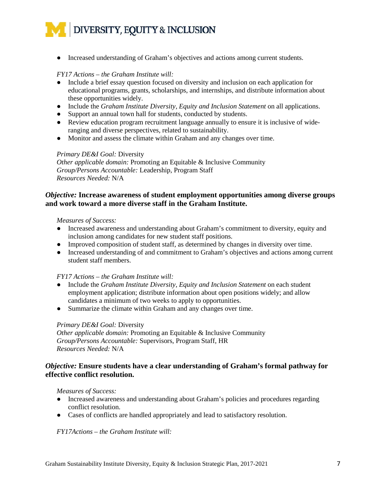● Increased understanding of Graham's objectives and actions among current students.

#### *FY17 Actions – the Graham Institute will:*

- Include a brief essay question focused on diversity and inclusion on each application for educational programs, grants, scholarships, and internships, and distribute information about these opportunities widely.
- Include the *Graham Institute Diversity, Equity and Inclusion Statement* on all applications.
- Support an annual town hall for students, conducted by students.
- Review education program recruitment language annually to ensure it is inclusive of wideranging and diverse perspectives, related to sustainability.
- Monitor and assess the climate within Graham and any changes over time.

#### *Primary DE&I Goal:* Diversity

*Other applicable domain:* Promoting an Equitable & Inclusive Community *Group/Persons Accountable:* Leadership, Program Staff *Resources Needed:* N/A

#### *Objective:* **Increase awareness of student employment opportunities among diverse groups and work toward a more diverse staff in the Graham Institute.**

#### *Measures of Success:*

- Increased awareness and understanding about Graham's commitment to diversity, equity and inclusion among candidates for new student staff positions.
- Improved composition of student staff, as determined by changes in diversity over time.
- Increased understanding of and commitment to Graham's objectives and actions among current student staff members.

#### *FY17 Actions – the Graham Institute will:*

- Include the *Graham Institute Diversity, Equity and Inclusion Statement* on each student employment application; distribute information about open positions widely; and allow candidates a minimum of two weeks to apply to opportunities.
- Summarize the climate within Graham and any changes over time.

#### *Primary DE&I Goal:* Diversity

*Other applicable domain:* Promoting an Equitable & Inclusive Community *Group/Persons Accountable:* Supervisors, Program Staff, HR *Resources Needed:* N/A

#### *Objective:* **Ensure students have a clear understanding of Graham's formal pathway for effective conflict resolution.**

*Measures of Success:* 

- Increased awareness and understanding about Graham's policies and procedures regarding conflict resolution.
- Cases of conflicts are handled appropriately and lead to satisfactory resolution.

*FY17Actions – the Graham Institute will:*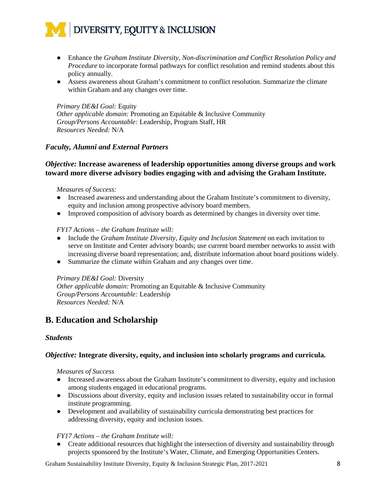

- Enhance the *Graham Institute Diversity, Non-discrimination and Conflict Resolution Policy and Procedure* to incorporate formal pathways for conflict resolution and remind students about this policy annually.
- Assess awareness about Graham's commitment to conflict resolution. Summarize the climate within Graham and any changes over time.

*Primary DE&I Goal:* Equity *Other applicable domain:* Promoting an Equitable & Inclusive Community *Group/Persons Accountable:* Leadership, Program Staff, HR *Resources Needed:* N/A

#### *Faculty, Alumni and External Partners*

#### *Objective:* **Increase awareness of leadership opportunities among diverse groups and work toward more diverse advisory bodies engaging with and advising the Graham Institute.**

#### *Measures of Success:*

- Increased awareness and understanding about the Graham Institute's commitment to diversity, equity and inclusion among prospective advisory board members.
- Improved composition of advisory boards as determined by changes in diversity over time.

#### *FY17 Actions – the Graham Institute will:*

- Include the *Graham Institute Diversity, Equity and Inclusion Statement* on each invitation to serve on Institute and Center advisory boards; use current board member networks to assist with increasing diverse board representation; and, distribute information about board positions widely.
- Summarize the climate within Graham and any changes over time.

#### *Primary DE&I Goal:* Diversity

*Other applicable domain:* Promoting an Equitable & Inclusive Community *Group/Persons Accountable:* Leadership *Resources Needed:* N/A

### **B. Education and Scholarship**

#### *Students*

#### *Objective:* **Integrate diversity, equity, and inclusion into scholarly programs and curricula.**

#### *Measures of Success*

- Increased awareness about the Graham Institute's commitment to diversity, equity and inclusion among students engaged in educational programs.
- Discussions about diversity, equity and inclusion issues related to sustainability occur in formal institute programming.
- Development and availability of sustainability curricula demonstrating best practices for addressing diversity, equity and inclusion issues.

#### *FY17 Actions – the Graham Institute will:*

• Create additional resources that highlight the intersection of diversity and sustainability through projects sponsored by the Institute's Water, Climate, and Emerging Opportunities Centers.

Graham Sustainability Institute Diversity, Equity & Inclusion Strategic Plan, 2017-2021 8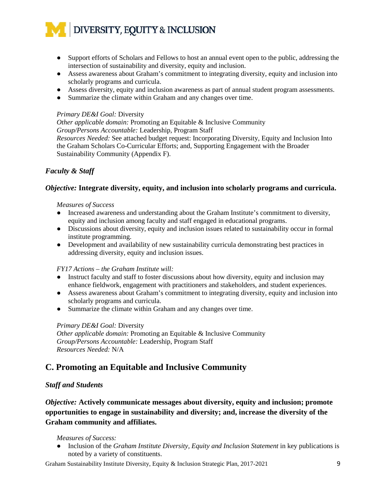- Support efforts of Scholars and Fellows to host an annual event open to the public, addressing the intersection of sustainability and diversity, equity and inclusion.
- Assess awareness about Graham's commitment to integrating diversity, equity and inclusion into scholarly programs and curricula.
- Assess diversity, equity and inclusion awareness as part of annual student program assessments.
- Summarize the climate within Graham and any changes over time.

#### *Primary DE&I Goal:* Diversity

*Other applicable domain:* Promoting an Equitable & Inclusive Community *Group/Persons Accountable:* Leadership, Program Staff *Resources Needed:* See attached budget request: Incorporating Diversity, Equity and Inclusion Into the Graham Scholars Co-Curricular Efforts; and, Supporting Engagement with the Broader Sustainability Community (Appendix F).

### *Faculty & Staff*

#### *Objective:* **Integrate diversity, equity, and inclusion into scholarly programs and curricula.**

#### *Measures of Success*

- Increased awareness and understanding about the Graham Institute's commitment to diversity, equity and inclusion among faculty and staff engaged in educational programs.
- Discussions about diversity, equity and inclusion issues related to sustainability occur in formal institute programming.
- Development and availability of new sustainability curricula demonstrating best practices in addressing diversity, equity and inclusion issues.

#### *FY17 Actions – the Graham Institute will:*

- Instruct faculty and staff to foster discussions about how diversity, equity and inclusion may enhance fieldwork, engagement with practitioners and stakeholders, and student experiences.
- Assess awareness about Graham's commitment to integrating diversity, equity and inclusion into scholarly programs and curricula.
- Summarize the climate within Graham and any changes over time.

#### *Primary DE&I Goal:* Diversity

*Other applicable domain:* Promoting an Equitable & Inclusive Community *Group/Persons Accountable:* Leadership, Program Staff *Resources Needed:* N/A

## **C. Promoting an Equitable and Inclusive Community**

#### *Staff and Students*

*Objective:* **Actively communicate messages about diversity, equity and inclusion; promote opportunities to engage in sustainability and diversity; and, increase the diversity of the Graham community and affiliates.** 

#### *Measures of Success:*

• Inclusion of the *Graham Institute Diversity, Equity and Inclusion Statement* in key publications is noted by a variety of constituents.

Graham Sustainability Institute Diversity, Equity & Inclusion Strategic Plan, 2017-2021 9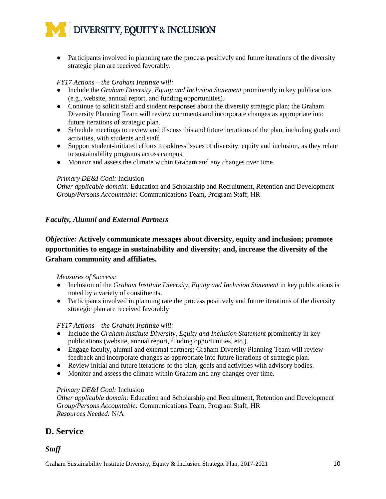• Participants involved in planning rate the process positively and future iterations of the diversity strategic plan are received favorably.

#### *FY17 Actions – the Graham Institute will:*

- Include the *Graham Diversity, Equity and Inclusion Statement* prominently in key publications (e.g., website, annual report, and funding opportunities).
- Continue to solicit staff and student responses about the diversity strategic plan; the Graham Diversity Planning Team will review comments and incorporate changes as appropriate into future iterations of strategic plan.
- Schedule meetings to review and discuss this and future iterations of the plan, including goals and activities, with students and staff.
- Support student-initiated efforts to address issues of diversity, equity and inclusion, as they relate to sustainability programs across campus.
- Monitor and assess the climate within Graham and any changes over time.

#### *Primary DE&I Goal:* Inclusion

*Other applicable domain:* Education and Scholarship and Recruitment, Retention and Development *Group/Persons Accountable:* Communications Team, Program Staff, HR

#### *Faculty, Alumni and External Partners*

### *Objective:* **Actively communicate messages about diversity, equity and inclusion; promote opportunities to engage in sustainability and diversity; and, increase the diversity of the Graham community and affiliates.**

#### *Measures of Success:*

- Inclusion of the *Graham Institute Diversity, Equity and Inclusion Statement* in key publications is noted by a variety of constituents.
- Participants involved in planning rate the process positively and future iterations of the diversity strategic plan are received favorably

#### *FY17 Actions – the Graham Institute will:*

- Include the *Graham Institute Diversity, Equity and Inclusion Statement* prominently in key publications (website, annual report, funding opportunities, etc.).
- Engage faculty, alumni and external partners; Graham Diversity Planning Team will review feedback and incorporate changes as appropriate into future iterations of strategic plan.
- Review initial and future iterations of the plan, goals and activities with advisory bodies.
- Monitor and assess the climate within Graham and any changes over time.

#### *Primary DE&I Goal:* Inclusion

*Other applicable domain:* Education and Scholarship and Recruitment, Retention and Development *Group/Persons Accountable:* Communications Team, Program Staff, HR *Resources Needed:* N/A

## **D. Service**

#### *Staff*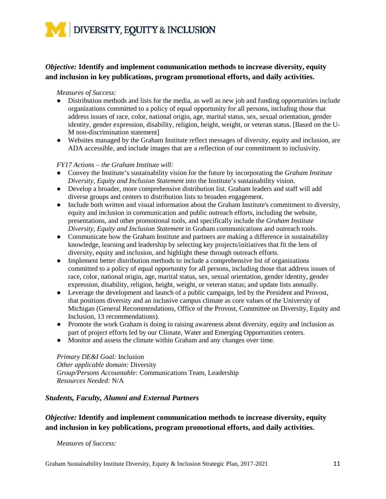

### *Objective:* **Identify and implement communication methods to increase diversity, equity and inclusion in key publications, program promotional efforts, and daily activities.**

#### *Measures of Success:*

- Distribution methods and lists for the media, as well as new job and funding opportunities include organizations committed to a policy of equal opportunity for all persons, including those that address issues of race, color, national origin, age, marital status, sex, sexual orientation, gender identity, gender expression, disability, religion, height, weight, or veteran status. [Based on the U-M non-discrimination statement]
- Websites managed by the Graham Institute reflect messages of diversity, equity and inclusion, are ADA accessible, and include images that are a reflection of our commitment to inclusivity.

#### *FY17 Actions – the Graham Institute will:*

- Convey the Institute's sustainability vision for the future by incorporating the *Graham Institute Diversity, Equity and Inclusion Statement* into the Institute's sustainability vision.
- Develop a broader, more comprehensive distribution list. Graham leaders and staff will add diverse groups and centers to distribution lists to broaden engagement.
- Include both written and visual information about the Graham Institute's commitment to diversity, equity and inclusion in communication and public outreach efforts, including the website, presentations, and other promotional tools, and specifically include the *Graham Institute Diversity, Equity and Inclusion Statement* in Graham communications and outreach tools.
- Communicate how the Graham Institute and partners are making a difference in sustainability knowledge, learning and leadership by selecting key projects/initiatives that fit the lens of diversity, equity and inclusion, and highlight these through outreach efforts.
- Implement better distribution methods to include a comprehensive list of organizations committed to a policy of equal opportunity for all persons, including those that address issues of race, color, national origin, age, marital status, sex, sexual orientation, gender identity, gender expression, disability, religion, height, weight, or veteran status; and update lists annually.
- Leverage the development and launch of a public campaign, led by the President and Provost, that positions diversity and an inclusive campus climate as core values of the University of Michigan (General Recommendations, Office of the Provost, Committee on Diversity, Equity and Inclusion, 13 recommendations).
- Promote the work Graham is doing in raising awareness about diversity, equity and inclusion as part of project efforts led by our Climate, Water and Emerging Opportunities centers.
- Monitor and assess the climate within Graham and any changes over time.

*Primary DE&I Goal:* Inclusion *Other applicable domain:* Diversity *Group/Persons Accountable:* Communications Team, Leadership *Resources Needed:* N/A

#### *Students, Faculty, Alumni and External Partners*

### *Objective:* **Identify and implement communication methods to increase diversity, equity and inclusion in key publications, program promotional efforts, and daily activities.**

*Measures of Success:*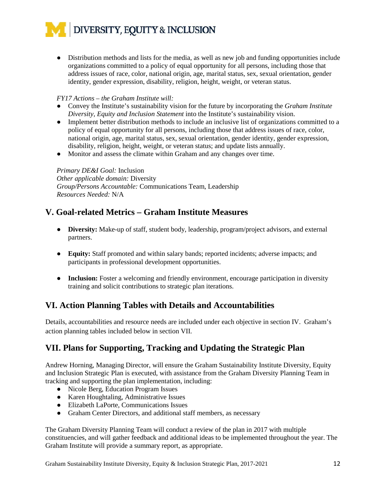● Distribution methods and lists for the media, as well as new job and funding opportunities include organizations committed to a policy of equal opportunity for all persons, including those that address issues of race, color, national origin, age, marital status, sex, sexual orientation, gender identity, gender expression, disability, religion, height, weight, or veteran status.

#### *FY17 Actions – the Graham Institute will:*

- Convey the Institute's sustainability vision for the future by incorporating the *Graham Institute Diversity, Equity and Inclusion Statement* into the Institute's sustainability vision.
- Implement better distribution methods to include an inclusive list of organizations committed to a policy of equal opportunity for all persons, including those that address issues of race, color, national origin, age, marital status, sex, sexual orientation, gender identity, gender expression, disability, religion, height, weight, or veteran status; and update lists annually.
- Monitor and assess the climate within Graham and any changes over time.

*Primary DE&I Goal:* Inclusion *Other applicable domain:* Diversity *Group/Persons Accountable:* Communications Team, Leadership *Resources Needed:* N/A

## **V. Goal-related Metrics – Graham Institute Measures**

- **Diversity:** Make-up of staff, student body, leadership, program/project advisors, and external partners.
- **Equity:** Staff promoted and within salary bands; reported incidents; adverse impacts; and participants in professional development opportunities.
- **Inclusion:** Foster a welcoming and friendly environment, encourage participation in diversity training and solicit contributions to strategic plan iterations.

## **VI. Action Planning Tables with Details and Accountabilities**

Details, accountabilities and resource needs are included under each objective in section IV. Graham's action planning tables included below in section VII.

## **VII. Plans for Supporting, Tracking and Updating the Strategic Plan**

Andrew Horning, Managing Director, will ensure the Graham Sustainability Institute Diversity, Equity and Inclusion Strategic Plan is executed, with assistance from the Graham Diversity Planning Team in tracking and supporting the plan implementation, including:

- Nicole Berg, Education Program Issues
- Karen Houghtaling, Administrative Issues
- Elizabeth LaPorte, Communications Issues
- Graham Center Directors, and additional staff members, as necessary

The Graham Diversity Planning Team will conduct a review of the plan in 2017 with multiple constituencies, and will gather feedback and additional ideas to be implemented throughout the year. The Graham Institute will provide a summary report, as appropriate.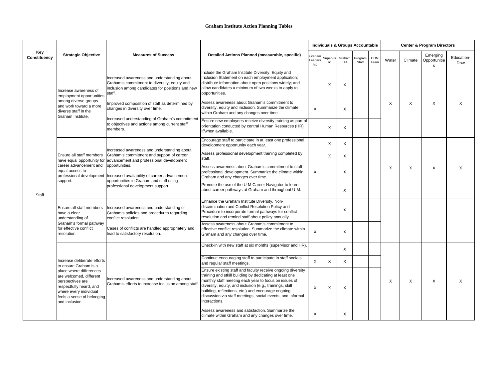|                            |                                                                                                                                                                             | <b>Measures of Success</b>                                                                                                                                                                                                                                                                                                                   | <b>Detailed Actions Planned (measurable, specific)</b>                                                                                                                                                                                                                                                                                                                           |                          |                       |                           | <b>Individuals &amp; Groups Accountable</b> |             | <b>Center &amp; Program Directors</b> |                           |                                |                   |  |
|----------------------------|-----------------------------------------------------------------------------------------------------------------------------------------------------------------------------|----------------------------------------------------------------------------------------------------------------------------------------------------------------------------------------------------------------------------------------------------------------------------------------------------------------------------------------------|----------------------------------------------------------------------------------------------------------------------------------------------------------------------------------------------------------------------------------------------------------------------------------------------------------------------------------------------------------------------------------|--------------------------|-----------------------|---------------------------|---------------------------------------------|-------------|---------------------------------------|---------------------------|--------------------------------|-------------------|--|
| Key<br><b>Constituency</b> | <b>Strategic Objective</b>                                                                                                                                                  |                                                                                                                                                                                                                                                                                                                                              |                                                                                                                                                                                                                                                                                                                                                                                  | Graham<br>Leaders<br>hip | Supervis Graham<br>or | <b>HR</b>                 | Program<br>Staff                            | COM<br>Team | Water                                 | Climate                   | Emerging<br>Opportunitie<br>S. | Education-<br>Dow |  |
|                            | Increase awareness of<br>employment opportunities                                                                                                                           | Increased awareness and understanding about<br>Graham's commitment to diversity, equity and<br>inclusion among candidates for positions and new<br>staff.                                                                                                                                                                                    | nclude the Graham Institute Diversity, Equity and<br>Inclusion Statement on each employment application;<br>distribute information about open positions widely; and<br>allow candidates a minimum of two weeks to apply to<br>opportunities.                                                                                                                                     |                          | X                     | X                         |                                             |             |                                       |                           | X                              | X                 |  |
|                            | among diverse groups<br>and work toward a more<br>diverse staff in the<br>Graham Institute.                                                                                 | Improved composition of staff as determined by<br>changes in diversity over time.<br>Increased understanding of Graham's commitment<br>to objectives and actions among current staff<br>members.                                                                                                                                             | Assess awareness about Graham's commitment to<br>diversity, equity and inclusion. Summarize the climate<br>within Graham and any changes over time.                                                                                                                                                                                                                              | $\times$                 |                       | X                         |                                             |             | X                                     | $\times$                  |                                |                   |  |
|                            |                                                                                                                                                                             |                                                                                                                                                                                                                                                                                                                                              | Ensure new employees receive diversity training as part of<br>orientation conducted by central Human Resources (HR)<br>if/when available.                                                                                                                                                                                                                                        |                          | X                     | $\boldsymbol{\mathsf{X}}$ |                                             |             |                                       |                           |                                |                   |  |
| Staff                      |                                                                                                                                                                             | Increased awareness and understanding about<br>Graham's commitment and support of career<br>have equal opportunity for advancement and professional development<br>opportunities.<br>professional development   Increased availability of career advancement<br>opportunities in Graham and staff using<br>professional development support. | Encourage staff to participate in at least one professional<br>development opportunity each year.                                                                                                                                                                                                                                                                                |                          | X                     | $\mathsf{X}$              |                                             |             |                                       |                           | X                              | X                 |  |
|                            | Ensure all staff members<br>career advancement and<br>equal access to<br>support.                                                                                           |                                                                                                                                                                                                                                                                                                                                              | Assess professional development training completed by<br>staff.                                                                                                                                                                                                                                                                                                                  |                          | X                     | $\sf X$                   |                                             |             |                                       |                           |                                |                   |  |
|                            |                                                                                                                                                                             |                                                                                                                                                                                                                                                                                                                                              | Assess awareness about Graham's commitment to staff<br>professional development. Summarize the climate within<br>Graham and any changes over time.                                                                                                                                                                                                                               | $\sf X$                  |                       | X                         |                                             |             | X                                     | $\boldsymbol{\mathsf{X}}$ |                                |                   |  |
|                            |                                                                                                                                                                             |                                                                                                                                                                                                                                                                                                                                              | Promote the use of the U-M Career Navigator to learn<br>about career pathways at Graham and throughout U-M.                                                                                                                                                                                                                                                                      |                          |                       | X                         |                                             |             |                                       |                           |                                |                   |  |
|                            | Ensure all staff members<br>have a clear<br>understanding of                                                                                                                | Increased awareness and understanding of<br>Graham's policies and procedures regarding<br>conflict resolution.                                                                                                                                                                                                                               | Enhance the Graham Institute Diversity, Non-<br>discrimination and Conflict Resolution Policy and<br>Procedure to incorporate formal pathways for conflict<br>resolution and remind staff about policy annually.                                                                                                                                                                 |                          |                       | X                         |                                             |             |                                       |                           |                                |                   |  |
|                            | Graham's formal pathway<br>for effective conflict<br>resolution.                                                                                                            | Cases of conflicts are handled appropriately and<br>lead to satisfactory resolution.                                                                                                                                                                                                                                                         | Assess awareness about Graham's commitment to<br>effective conflict resolution. Summarize the climate within<br>Graham and any changes over time.                                                                                                                                                                                                                                | X                        |                       | X                         |                                             |             |                                       |                           |                                |                   |  |
|                            |                                                                                                                                                                             |                                                                                                                                                                                                                                                                                                                                              | Check-in with new staff at six months (supervisor and HR).                                                                                                                                                                                                                                                                                                                       |                          |                       | X                         |                                             |             |                                       |                           |                                |                   |  |
|                            | Increase deliberate efforts<br>to ensure Graham is a                                                                                                                        |                                                                                                                                                                                                                                                                                                                                              | Continue encouraging staff to participate in staff socials<br>and regular staff meetings.                                                                                                                                                                                                                                                                                        | $\mathsf{X}$             | $\mathsf{X}$          | $\mathsf{X}$              |                                             |             |                                       |                           |                                | X                 |  |
|                            | place where differences<br>are welcomed, different<br>perspectives are<br>respectfully heard, and<br>where every individual<br>feels a sense of belonging<br>and inclusion. | Increased awareness and understanding about<br>Graham's efforts to increase inclusion among staff.                                                                                                                                                                                                                                           | Ensure existing staff and faculty receive ongoing diversity<br>training and stkill building by dedicating at least one<br>monthly staff meeting each year to focus on issues of<br>diversity, equity, and inclusion (e.g., trainings, skill<br>building, reflections, etc.) and encourage ongoing<br>discussion via staff meetings, social events, and informal<br>interactions. | X                        | X                     | $\sf X$                   |                                             |             | X                                     | X                         | X                              |                   |  |
|                            |                                                                                                                                                                             |                                                                                                                                                                                                                                                                                                                                              | Assess awareness and satisfaction. Summarize the<br>climate within Graham and any changes over time.                                                                                                                                                                                                                                                                             | X                        |                       | $\mathsf{X}$              |                                             |             |                                       |                           |                                |                   |  |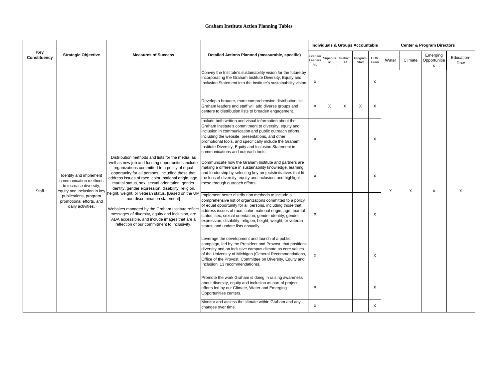|                            |                                                                                                                                                                                                                                                                                                                                                                                                                                                                                                                                                                                                                                                                                                                                                                                                                                                                   |                                                                                                                                                                                                                                                                                                                                      |                                                                                                                                                                                                                                                                                                                                                                                                                 |                          |                |                     | <b>Individuals &amp; Groups Accountable</b> |                           |       |                           | <b>Center &amp; Program Directors</b> |                   |
|----------------------------|-------------------------------------------------------------------------------------------------------------------------------------------------------------------------------------------------------------------------------------------------------------------------------------------------------------------------------------------------------------------------------------------------------------------------------------------------------------------------------------------------------------------------------------------------------------------------------------------------------------------------------------------------------------------------------------------------------------------------------------------------------------------------------------------------------------------------------------------------------------------|--------------------------------------------------------------------------------------------------------------------------------------------------------------------------------------------------------------------------------------------------------------------------------------------------------------------------------------|-----------------------------------------------------------------------------------------------------------------------------------------------------------------------------------------------------------------------------------------------------------------------------------------------------------------------------------------------------------------------------------------------------------------|--------------------------|----------------|---------------------|---------------------------------------------|---------------------------|-------|---------------------------|---------------------------------------|-------------------|
| Key<br><b>Constituency</b> | <b>Strategic Objective</b>                                                                                                                                                                                                                                                                                                                                                                                                                                                                                                                                                                                                                                                                                                                                                                                                                                        | <b>Measures of Success</b>                                                                                                                                                                                                                                                                                                           | Detailed Actions Planned (measurable, specific)                                                                                                                                                                                                                                                                                                                                                                 | Graham<br>Leaders<br>hip | Supervis<br>or | Graham<br><b>HR</b> | Program<br>Staff                            | COM<br>Team               | Water | Climate                   | Emerging<br>Opportunitie<br>S         | Education-<br>Dow |
| <b>Staff</b>               |                                                                                                                                                                                                                                                                                                                                                                                                                                                                                                                                                                                                                                                                                                                                                                                                                                                                   |                                                                                                                                                                                                                                                                                                                                      | Convey the Institute's sustainability vision for the future by<br>incorporating the Graham Institute Diversity, Equity and<br>Inclusion Statement into the Institute's sustainability vision.                                                                                                                                                                                                                   | X                        |                |                     |                                             | X                         |       |                           |                                       |                   |
|                            |                                                                                                                                                                                                                                                                                                                                                                                                                                                                                                                                                                                                                                                                                                                                                                                                                                                                   |                                                                                                                                                                                                                                                                                                                                      | Develop a broader, more comprehensive distribution list.<br>Graham leaders and staff will add diverse groups and<br>centers to distribution lists to broaden engagement.                                                                                                                                                                                                                                        | X                        | X              | $\sf X$             | X                                           | $\boldsymbol{\mathsf{X}}$ |       |                           |                                       |                   |
|                            | Distribution methods and lists for the media, as<br>well as new job and funding opportunities include<br>organizations committed to a policy of equal<br>opportunity for all persons, including those that<br>Identify and implement<br>address issues of race, color, national origin, age<br>communication methods<br>marital status, sex, sexual orientation, gender<br>to increase diversity,<br>identity, gender expression, disability, religion,<br>equity and inclusion in key<br>height, weight, or veteran status. [Based on the UM<br>publications, program<br>non-discrimination statement]<br>promotional efforts, and<br>daily activities.<br>Websites managed by the Graham Institute reflect<br>messages of diversity, equity and inclusion, are<br>ADA accessible, and include images that are a<br>reflection of our commitment to inclusivity. |                                                                                                                                                                                                                                                                                                                                      | Include both written and visual information about the<br>Graham Institute's commitment to diversity, equity and<br>inclusion in communication and public outreach efforts,<br>including the website, presentations, and other<br>promotional tools, and specifically include the Graham<br>Institute Diversity, Equity and Inclusion Statement in<br>communications and outreach tools.                         | X                        |                |                     |                                             | Х                         |       |                           |                                       |                   |
|                            |                                                                                                                                                                                                                                                                                                                                                                                                                                                                                                                                                                                                                                                                                                                                                                                                                                                                   |                                                                                                                                                                                                                                                                                                                                      | Communicate how the Graham Institute and partners are<br>making a difference in sustainability knowledge, learning<br>and leadership by selecting key projects/initiatives that fit<br>he lens of diversity, equity and inclusion, and highlight<br>these through outreach efforts.                                                                                                                             | X                        |                |                     |                                             | Χ                         | X     | $\boldsymbol{\mathsf{X}}$ | Χ                                     | X                 |
|                            |                                                                                                                                                                                                                                                                                                                                                                                                                                                                                                                                                                                                                                                                                                                                                                                                                                                                   |                                                                                                                                                                                                                                                                                                                                      | Implement better distribution methods to include a<br>comprehensive list of organizations committed to a policy<br>of equal opportunity for all persons, including those that<br>address issues of race, color, national origin, age, marital<br>status, sex, sexual orientation, gender identity, gender<br>expression, disability, religion, height, weight, or veteran<br>status; and update lists annually. | X                        |                |                     |                                             | Χ                         |       |                           |                                       |                   |
|                            |                                                                                                                                                                                                                                                                                                                                                                                                                                                                                                                                                                                                                                                                                                                                                                                                                                                                   | Leverage the development and launch of a public<br>campaign, led by the President and Provost, that positions<br>diversity and an inclusive campus climate as core values<br>of the University of Michigan (General Recommendations,<br>Office of the Provost, Committee on Diversity, Equity and<br>Inclusion, 13 recommendations). | $\mathsf{X}$                                                                                                                                                                                                                                                                                                                                                                                                    |                          |                |                     | X                                           |                           |       |                           |                                       |                   |
|                            |                                                                                                                                                                                                                                                                                                                                                                                                                                                                                                                                                                                                                                                                                                                                                                                                                                                                   |                                                                                                                                                                                                                                                                                                                                      | Promote the work Graham is doing in raising awareness<br>about diversity, equity and inclusion as part of project<br>efforts led by our Climate, Water and Emerging<br>Opportunities centers.                                                                                                                                                                                                                   | X                        |                |                     |                                             | X                         |       |                           |                                       |                   |
|                            |                                                                                                                                                                                                                                                                                                                                                                                                                                                                                                                                                                                                                                                                                                                                                                                                                                                                   |                                                                                                                                                                                                                                                                                                                                      | Monitor and assess the climate within Graham and any<br>changes over time.                                                                                                                                                                                                                                                                                                                                      | $\mathsf{X}$             |                |                     |                                             | X                         |       |                           |                                       |                   |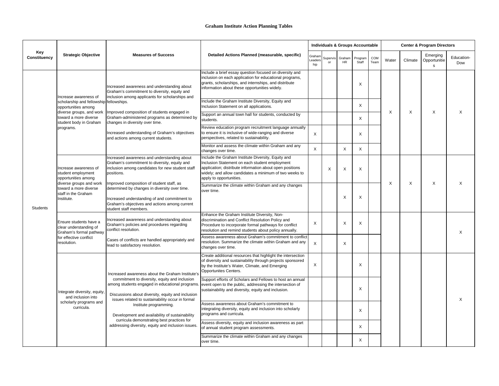| Key                 |                                                                                                                                                             | <b>Measures of Success</b>                                                                                                                                                                                                                                                                                                             | Detailed Actions Planned (measurable, specific)                                                                                                                                                                                                       |                          |          |                     | <b>Individuals &amp; Groups Accountable</b> |             | <b>Center &amp; Program Directors</b> |         |                                |                   |  |  |
|---------------------|-------------------------------------------------------------------------------------------------------------------------------------------------------------|----------------------------------------------------------------------------------------------------------------------------------------------------------------------------------------------------------------------------------------------------------------------------------------------------------------------------------------|-------------------------------------------------------------------------------------------------------------------------------------------------------------------------------------------------------------------------------------------------------|--------------------------|----------|---------------------|---------------------------------------------|-------------|---------------------------------------|---------|--------------------------------|-------------------|--|--|
| <b>Constituency</b> | <b>Strategic Objective</b>                                                                                                                                  |                                                                                                                                                                                                                                                                                                                                        |                                                                                                                                                                                                                                                       | Graham<br>Leaders<br>hip | Supervis | Graham<br><b>HR</b> | Program<br>Staff                            | COM<br>Team | Water                                 | Climate | Emerging<br>Opportunitie<br>S. | Education-<br>Dow |  |  |
|                     | Ilncrease awareness of                                                                                                                                      | Increased awareness and understanding about<br>Graham's commitment to diversity, equity and<br>inclusion among applicants for scholarships and                                                                                                                                                                                         | Include a brief essay question focused on diversity and<br>inclusion on each application for educational programs,<br>grants, scholarships, and internships, and distribute<br>information about these opportunities widely.                          |                          |          |                     |                                             |             |                                       | X       | X                              | $\mathsf{X}$      |  |  |
|                     | scholarship and fellowship fellowships.<br>opportunities among                                                                                              |                                                                                                                                                                                                                                                                                                                                        | Include the Graham Institute Diversity, Equity and<br>Inclusion Statement on all applications.                                                                                                                                                        |                          |          |                     | X                                           |             |                                       |         |                                |                   |  |  |
|                     | diverse groups, and work<br>toward a more diverse<br>student body in Graham                                                                                 | Improved composition of students engaged in<br>Graham-administered programs as determined by<br>changes in diversity over time.                                                                                                                                                                                                        | Support an annual town hall for students, conducted by<br>students.                                                                                                                                                                                   |                          |          |                     | X                                           |             | X                                     |         |                                |                   |  |  |
|                     | programs.                                                                                                                                                   | Increased understanding of Graham's objectives<br>and actions among current students.                                                                                                                                                                                                                                                  | Review education program recruitment language annually<br>to ensure it is inclusive of wide-ranging and diverse<br>perspectives, related to sustainability.                                                                                           | $\sf X$                  |          |                     | Х                                           |             |                                       |         |                                |                   |  |  |
|                     |                                                                                                                                                             |                                                                                                                                                                                                                                                                                                                                        | Monitor and assess the climate within Graham and any<br>changes over time.                                                                                                                                                                            | $\sf X$                  |          | X                   | X                                           |             |                                       |         |                                |                   |  |  |
| <b>Students</b>     | Increase awareness of<br>student employment<br>opportunities among<br>diverse groups and work<br>toward a more diverse<br>staff in the Graham<br>Institute. | Increased awareness and understanding about<br>Graham's commitment to diversity, equity and<br>inclusion among candidates for new student staff<br>positions.                                                                                                                                                                          | Include the Graham Institute Diversity, Equity and<br>Inclusion Statement on each student employment<br>application; distribute information about open positions<br>widely; and allow candidates a minimum of two weeks to<br>apply to opportunities. |                          | X        | $\times$            | X                                           |             |                                       |         |                                |                   |  |  |
|                     |                                                                                                                                                             | Improved composition of student staff, as<br>determined by changes in diversity over time.<br>Increased understanding of and commitment to<br>Graham's objectives and actions among current<br>student staff members.                                                                                                                  | Summarize the climate within Graham and any changes<br>lover time.                                                                                                                                                                                    |                          |          | X                   | Х                                           |             | X                                     | X       | X                              | $\times$          |  |  |
|                     | Ensure students have a<br>clear understanding of<br>conflict resolution.<br>Graham's formal pathway                                                         | Increased awareness and understanding about<br>Graham's policies and procedures regarding                                                                                                                                                                                                                                              | Enhance the Graham Institute Diversity, Non-<br>discrimination and Conflict Resolution Policy and<br>Procedure to incorporate formal pathways for conflict<br>resolution and remind students about policy annually.                                   | $\pmb{\times}$           |          | $\mathsf{X}$        | $\sqrt{}$<br>⋏                              |             |                                       |         |                                | X                 |  |  |
|                     | for effective conflict<br>resolution.                                                                                                                       | Cases of conflicts are handled appropriately and<br>lead to satisfactory resolution.                                                                                                                                                                                                                                                   | Assess awareness about Graham's commitment to conflict<br>resolution. Summarize the climate within Graham and any<br>changes over time.                                                                                                               | $\boldsymbol{X}$         |          | X                   |                                             |             |                                       |         |                                |                   |  |  |
|                     |                                                                                                                                                             | Increased awareness about the Graham Institute's                                                                                                                                                                                                                                                                                       | Create additional resources that highlight the intersection<br>of diversity and sustainability through projects sponsored<br>by the Institute's Water, Climate, and Emerging<br>Opportunites Centers.                                                 | X                        |          |                     | Х                                           |             |                                       |         |                                |                   |  |  |
|                     | Integrate diversity, equity,<br>and inclusion into                                                                                                          | commitment to diversity, equity and inclusion<br>Discussions about diversity, equity and inclusion<br>issues related to sustainability occur in formal<br>Institute programming.<br>Development and availability of sustainability<br>curricula demonstrating best practices for<br>addressing diversity, equity and inclusion issues. | Support efforts of Scholars and Fellows to host an annual<br>among students engaged in educational programs. event open to the public, addressing the intersection of<br>sustainability and diversity, equity and inclusion.                          |                          |          |                     | X                                           |             |                                       |         |                                | X                 |  |  |
|                     | scholarly programs and<br>curricula.                                                                                                                        |                                                                                                                                                                                                                                                                                                                                        | Assess awareness about Graham's commitment to<br>integrating diversity, equity and inclusion into scholarly<br>programs and curricula.                                                                                                                |                          |          |                     | Х                                           |             |                                       |         |                                |                   |  |  |
|                     |                                                                                                                                                             |                                                                                                                                                                                                                                                                                                                                        | Assess diversity, equity and inclusion awareness as part<br>of annual student program assessments.                                                                                                                                                    |                          |          |                     | X                                           |             |                                       |         |                                |                   |  |  |
|                     |                                                                                                                                                             |                                                                                                                                                                                                                                                                                                                                        | Summarize the climate within Graham and any changes<br>over time.                                                                                                                                                                                     |                          |          |                     | X.                                          |             |                                       |         |                                |                   |  |  |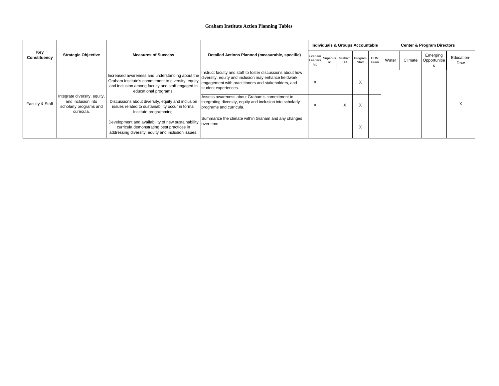## **Graham Institute Action Planning Tables**

| Key<br><b>Constituency</b> | <b>Strategic Objective</b>                                                                 | <b>Measures of Success</b>                                                                                                                                                                     | Detailed Actions Planned (measurable, specific)                                                                                                                                                     |                          |     | <b>Individuals &amp; Groups Accountable</b> |             | <b>Center &amp; Program Directors</b> |         |                          |                   |  |  |
|----------------------------|--------------------------------------------------------------------------------------------|------------------------------------------------------------------------------------------------------------------------------------------------------------------------------------------------|-----------------------------------------------------------------------------------------------------------------------------------------------------------------------------------------------------|--------------------------|-----|---------------------------------------------|-------------|---------------------------------------|---------|--------------------------|-------------------|--|--|
|                            |                                                                                            |                                                                                                                                                                                                |                                                                                                                                                                                                     | Graham<br>Leaders<br>hip | HR. | Supervis Graham Program<br>Staff            | COM<br>Team | Water                                 | Climate | Emerging<br>Opportunitie | Education-<br>Dow |  |  |
|                            | Integrate diversity, equity,<br>and inclusion into<br>scholarly programs and<br>curricula. | Increased awareness and understanding about the<br>Graham Institute's commitment to diversity, equity<br>and inclusion among faculty and staff engaged in<br>educational programs.             | Instruct faculty and staff to foster discussions about how<br>diversity, equity and inclusion may enhance fieldwork,<br>engagement with practitioners and stakeholders, and<br>student experiences. | $\lambda$                |     |                                             |             |                                       |         |                          |                   |  |  |
| Faculty & Staff            |                                                                                            | Discussions about diversity, equity and inclusion<br>issues related to sustainability occur in formal<br>Institute programming.                                                                | Assess awareness about Graham's commitment to<br>integrating diversity, equity and inclusion into scholarly<br>programs and curricula.                                                              | $\mathbf{v}$<br>⌒        | X   |                                             |             |                                       |         |                          |                   |  |  |
|                            |                                                                                            | $\frac{1}{2}$ Development and availability of new sustainability $\int_{\text{over time.}}$<br>curricula demonstrating best practices in<br>addressing diversity, equity and inclusion issues. | Summarize the climate within Graham and any changes                                                                                                                                                 |                          |     |                                             |             |                                       |         |                          |                   |  |  |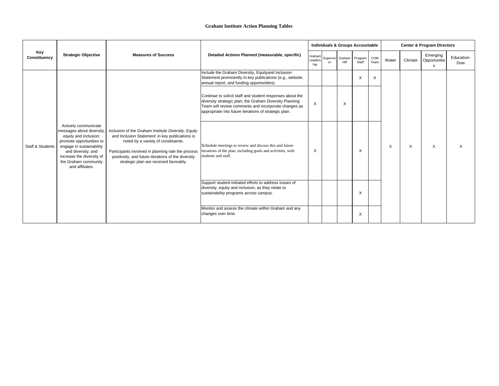|                             |                                                                                                                                                                                                                                  | <b>Measures of Success</b>                                                                                                                                                                                                                                                                         | <b>Detailed Actions Planned (measurable, specific)</b>                                                                                                                                                                                |                           |                        |                     | <b>Individuals &amp; Groups Accountable</b> |             | <b>Center &amp; Program Directors</b> |                           |                                |                   |  |  |
|-----------------------------|----------------------------------------------------------------------------------------------------------------------------------------------------------------------------------------------------------------------------------|----------------------------------------------------------------------------------------------------------------------------------------------------------------------------------------------------------------------------------------------------------------------------------------------------|---------------------------------------------------------------------------------------------------------------------------------------------------------------------------------------------------------------------------------------|---------------------------|------------------------|---------------------|---------------------------------------------|-------------|---------------------------------------|---------------------------|--------------------------------|-------------------|--|--|
| Key<br><b>Constituency</b>  | <b>Strategic Objective</b>                                                                                                                                                                                                       |                                                                                                                                                                                                                                                                                                    |                                                                                                                                                                                                                                       | Graham<br>Leaders<br>hip  | Supervis<br>$\alpha$ r | Graham<br><b>HR</b> | Program<br>Staff                            | COM<br>Team | Water                                 | Climate                   | Emerging<br>Opportunitie<br>S. | Education-<br>Dow |  |  |
| <b>Staff &amp; Students</b> |                                                                                                                                                                                                                                  | Inclusion of the Graham Institute Diversity, Equity<br>and Inclusion Statement in key publications is<br>noted by a variety of constituents.<br>Participants involved in planning rate the process<br>positively, and future iterations of the diversity<br>strategic plan are received favorably. | Include the Graham Diversity, Equityand Inclusion<br>Statement prominently in key publications (e.g., website,<br>annual report, and funding opportunities).                                                                          |                           |                        |                     | X                                           | $\sf X$     |                                       |                           | X                              |                   |  |  |
|                             | Actively communicate<br>messages about diversity,<br>equity and inclusion;<br>promote opportunities to<br>engage in sustainability<br>and diversity; and<br>increase the diversity of<br>the Graham community<br>and affiliates. |                                                                                                                                                                                                                                                                                                    | Continue to solicit staff and student responses about the<br>diversity strategic plan; the Graham Diversity Planning<br>Team will review comments and incorporate changes as<br>appropriate into future iterations of strategic plan. | $\mathsf X$               |                        | X                   |                                             |             |                                       |                           |                                |                   |  |  |
|                             |                                                                                                                                                                                                                                  |                                                                                                                                                                                                                                                                                                    | Schedule meetings to review and discuss this and future<br>iterations of the plan, including goals and activities, with<br>students and staff.                                                                                        | $\boldsymbol{\mathsf{X}}$ |                        |                     | X                                           |             | X                                     | $\boldsymbol{\mathsf{X}}$ |                                | X                 |  |  |
|                             |                                                                                                                                                                                                                                  |                                                                                                                                                                                                                                                                                                    | Support student-initiated efforts to address issues of<br>diversity, equity and inclusion, as they relate to<br>sustainability programs across campus.                                                                                |                           |                        |                     | X                                           |             |                                       |                           |                                |                   |  |  |
|                             |                                                                                                                                                                                                                                  |                                                                                                                                                                                                                                                                                                    | Monitor and assess the climate within Graham and any<br>changes over time.                                                                                                                                                            |                           |                        |                     | X                                           |             |                                       |                           |                                |                   |  |  |